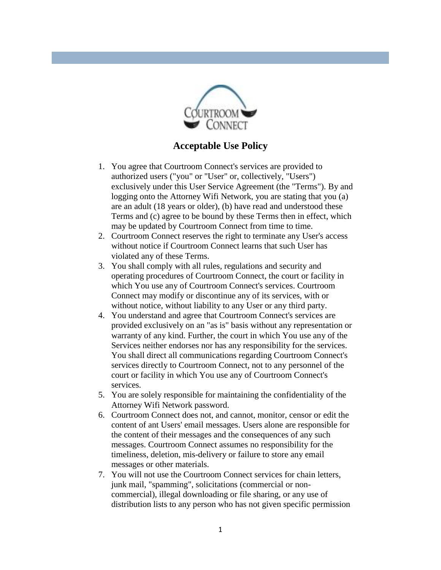

## **Acceptable Use Policy**

- 1. You agree that Courtroom Connect's services are provided to authorized users ("you" or "User" or, collectively, "Users") exclusively under this User Service Agreement (the "Terms"). By and logging onto the Attorney Wifi Network, you are stating that you (a) are an adult (18 years or older), (b) have read and understood these Terms and (c) agree to be bound by these Terms then in effect, which may be updated by Courtroom Connect from time to time.
- 2. Courtroom Connect reserves the right to terminate any User's access without notice if Courtroom Connect learns that such User has violated any of these Terms.
- 3. You shall comply with all rules, regulations and security and operating procedures of Courtroom Connect, the court or facility in which You use any of Courtroom Connect's services. Courtroom Connect may modify or discontinue any of its services, with or without notice, without liability to any User or any third party.
- 4. You understand and agree that Courtroom Connect's services are provided exclusively on an "as is" basis without any representation or warranty of any kind. Further, the court in which You use any of the Services neither endorses nor has any responsibility for the services. You shall direct all communications regarding Courtroom Connect's services directly to Courtroom Connect, not to any personnel of the court or facility in which You use any of Courtroom Connect's services.
- 5. You are solely responsible for maintaining the confidentiality of the Attorney Wifi Network password.
- 6. Courtroom Connect does not, and cannot, monitor, censor or edit the content of ant Users' email messages. Users alone are responsible for the content of their messages and the consequences of any such messages. Courtroom Connect assumes no responsibility for the timeliness, deletion, mis-delivery or failure to store any email messages or other materials.
- 7. You will not use the Courtroom Connect services for chain letters, junk mail, "spamming", solicitations (commercial or noncommercial), illegal downloading or file sharing, or any use of distribution lists to any person who has not given specific permission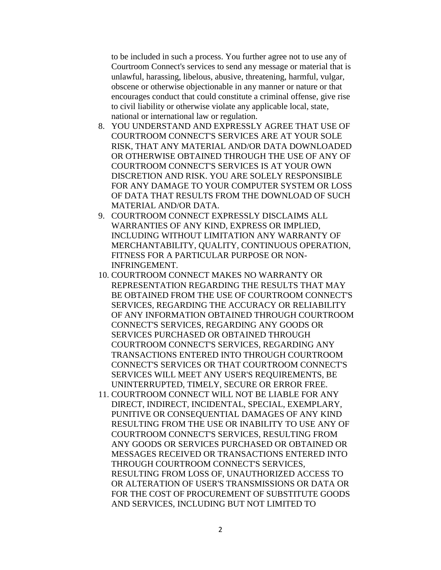to be included in such a process. You further agree not to use any of Courtroom Connect's services to send any message or material that is unlawful, harassing, libelous, abusive, threatening, harmful, vulgar, obscene or otherwise objectionable in any manner or nature or that encourages conduct that could constitute a criminal offense, give rise to civil liability or otherwise violate any applicable local, state, national or international law or regulation.

- 8. YOU UNDERSTAND AND EXPRESSLY AGREE THAT USE OF COURTROOM CONNECT'S SERVICES ARE AT YOUR SOLE RISK, THAT ANY MATERIAL AND/OR DATA DOWNLOADED OR OTHERWISE OBTAINED THROUGH THE USE OF ANY OF COURTROOM CONNECT'S SERVICES IS AT YOUR OWN DISCRETION AND RISK. YOU ARE SOLELY RESPONSIBLE FOR ANY DAMAGE TO YOUR COMPUTER SYSTEM OR LOSS OF DATA THAT RESULTS FROM THE DOWNLOAD OF SUCH MATERIAL AND/OR DATA.
- 9. COURTROOM CONNECT EXPRESSLY DISCLAIMS ALL WARRANTIES OF ANY KIND, EXPRESS OR IMPLIED, INCLUDING WITHOUT LIMITATION ANY WARRANTY OF MERCHANTABILITY, QUALITY, CONTINUOUS OPERATION, FITNESS FOR A PARTICULAR PURPOSE OR NON-INFRINGEMENT.
- 10. COURTROOM CONNECT MAKES NO WARRANTY OR REPRESENTATION REGARDING THE RESULTS THAT MAY BE OBTAINED FROM THE USE OF COURTROOM CONNECT'S SERVICES, REGARDING THE ACCURACY OR RELIABILITY OF ANY INFORMATION OBTAINED THROUGH COURTROOM CONNECT'S SERVICES, REGARDING ANY GOODS OR SERVICES PURCHASED OR OBTAINED THROUGH COURTROOM CONNECT'S SERVICES, REGARDING ANY TRANSACTIONS ENTERED INTO THROUGH COURTROOM CONNECT'S SERVICES OR THAT COURTROOM CONNECT'S SERVICES WILL MEET ANY USER'S REQUIREMENTS, BE UNINTERRUPTED, TIMELY, SECURE OR ERROR FREE.
- 11. COURTROOM CONNECT WILL NOT BE LIABLE FOR ANY DIRECT, INDIRECT, INCIDENTAL, SPECIAL, EXEMPLARY, PUNITIVE OR CONSEQUENTIAL DAMAGES OF ANY KIND RESULTING FROM THE USE OR INABILITY TO USE ANY OF COURTROOM CONNECT'S SERVICES, RESULTING FROM ANY GOODS OR SERVICES PURCHASED OR OBTAINED OR MESSAGES RECEIVED OR TRANSACTIONS ENTERED INTO THROUGH COURTROOM CONNECT'S SERVICES, RESULTING FROM LOSS OF, UNAUTHORIZED ACCESS TO OR ALTERATION OF USER'S TRANSMISSIONS OR DATA OR FOR THE COST OF PROCUREMENT OF SUBSTITUTE GOODS AND SERVICES, INCLUDING BUT NOT LIMITED TO